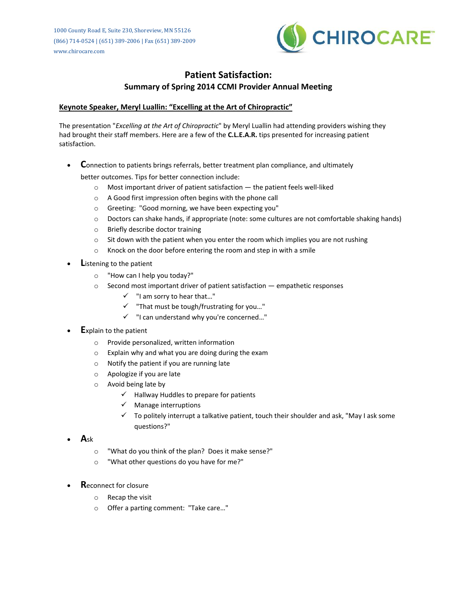

## **Patient Satisfaction: Summary of Spring 2014 CCMI Provider Annual Meeting**

### **Keynote Speaker, Meryl Luallin: "Excelling at the Art of Chiropractic"**

The presentation "*Excelling at the Art of Chiropractic*" by Meryl Luallin had attending providers wishing they had brought their staff members. Here are a few of the **C.L.E.A.R.** tips presented for increasing patient satisfaction.

**C**onnection to patients brings referrals, better treatment plan compliance, and ultimately

better outcomes. Tips for better connection include:

- o Most important driver of patient satisfaction the patient feels well-liked
- o A Good first impression often begins with the phone call
- o Greeting: "Good morning, we have been expecting you"
- o Doctors can shake hands, if appropriate (note: some cultures are not comfortable shaking hands)
- o Briefly describe doctor training
- $\circ$  Sit down with the patient when you enter the room which implies you are not rushing
- o Knock on the door before entering the room and step in with a smile
- **L**istening to the patient
	- o "How can I help you today?"
	- $\circ$  Second most important driver of patient satisfaction  $-$  empathetic responses
		- $\checkmark$  "I am sorry to hear that..."
		- $\checkmark$  "That must be tough/frustrating for you..."
		- $\checkmark$  "I can understand why you're concerned..."
- **E**xplain to the patient
	- o Provide personalized, written information
	- o Explain why and what you are doing during the exam
	- o Notify the patient if you are running late
	- o Apologize if you are late
	- o Avoid being late by
		- $\checkmark$  Hallway Huddles to prepare for patients
		- Manage interruptions
		- $\checkmark$  To politely interrupt a talkative patient, touch their shoulder and ask, "May I ask some questions?"
- **A**sk
	- o "What do you think of the plan? Does it make sense?"
	- o "What other questions do you have for me?"
- **R**econnect for closure
	- o Recap the visit
	- o Offer a parting comment: "Take care…"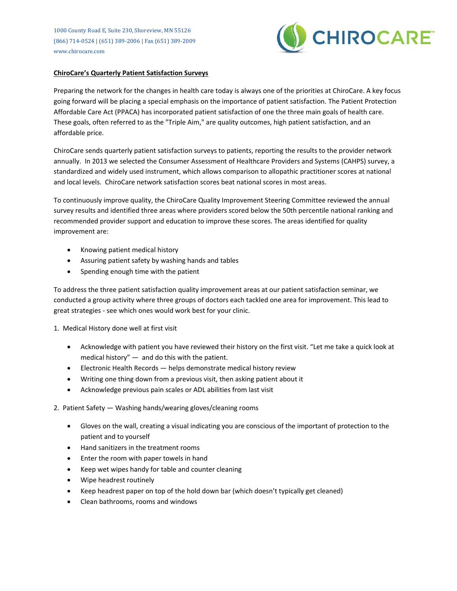1000 County Road E, Suite 230, Shoreview, MN 55126 (866) 714-0524 | (651) 389-2006 | Fax (651) 389-2009 www.chirocare.com



#### **ChiroCare's Quarterly Patient Satisfaction Surveys**

Preparing the network for the changes in health care today is always one of the priorities at ChiroCare. A key focus going forward will be placing a special emphasis on the importance of patient satisfaction. The Patient Protection Affordable Care Act (PPACA) has incorporated patient satisfaction of one the three main goals of health care. These goals, often referred to as the "Triple Aim," are quality outcomes, high patient satisfaction, and an affordable price.

ChiroCare sends quarterly patient satisfaction surveys to patients, reporting the results to the provider network annually. In 2013 we selected the Consumer Assessment of Healthcare Providers and Systems (CAHPS) survey, a standardized and widely used instrument, which allows comparison to allopathic practitioner scores at national and local levels. ChiroCare network satisfaction scores beat national scores in most areas.

To continuously improve quality, the ChiroCare Quality Improvement Steering Committee reviewed the annual survey results and identified three areas where providers scored below the 50th percentile national ranking and recommended provider support and education to improve these scores. The areas identified for quality improvement are:

- Knowing patient medical history
- Assuring patient safety by washing hands and tables
- Spending enough time with the patient

To address the three patient satisfaction quality improvement areas at our patient satisfaction seminar, we conducted a group activity where three groups of doctors each tackled one area for improvement. This lead to great strategies - see which ones would work best for your clinic.

- 1. Medical History done well at first visit
	- Acknowledge with patient you have reviewed their history on the first visit. "Let me take a quick look at medical history"  $-$  and do this with the patient.
	- Electronic Health Records helps demonstrate medical history review
	- Writing one thing down from a previous visit, then asking patient about it
	- Acknowledge previous pain scales or ADL abilities from last visit
- 2. Patient Safety Washing hands/wearing gloves/cleaning rooms
	- Gloves on the wall, creating a visual indicating you are conscious of the important of protection to the patient and to yourself
	- Hand sanitizers in the treatment rooms
	- Enter the room with paper towels in hand
	- Keep wet wipes handy for table and counter cleaning
	- Wipe headrest routinely
	- Keep headrest paper on top of the hold down bar (which doesn't typically get cleaned)
	- Clean bathrooms, rooms and windows